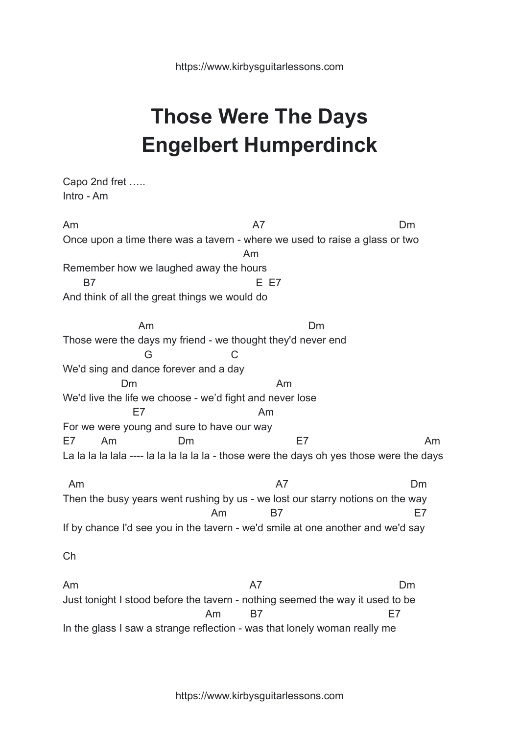## **Those Were The Days Engelbert Humperdinck**

Capo 2nd fret ….. Intro - Am

Am A7 Dm Once upon a time there was a tavern - where we used to raise a glass or two Am Remember how we laughed away the hours B7 E E7 And think of all the great things we would do Am Dm Those were the days my friend - we thought they'd never end G C We'd sing and dance forever and a day Dm Am We'd live the life we choose - we'd fight and never lose

E7 Am For we were young and sure to have our way E7 Am Dm E7 Am La la la la lala ---- la la la la la la - those were the days oh yes those were the days

Am A7 Dm Then the busy years went rushing by us - we lost our starry notions on the way Am B7 E7 If by chance I'd see you in the tavern - we'd smile at one another and we'd say

Ch

Am A7 Dm Just tonight I stood before the tavern - nothing seemed the way it used to be Am B7 E7 In the glass I saw a strange reflection - was that lonely woman really me

https://www.kirbysguitarlessons.com